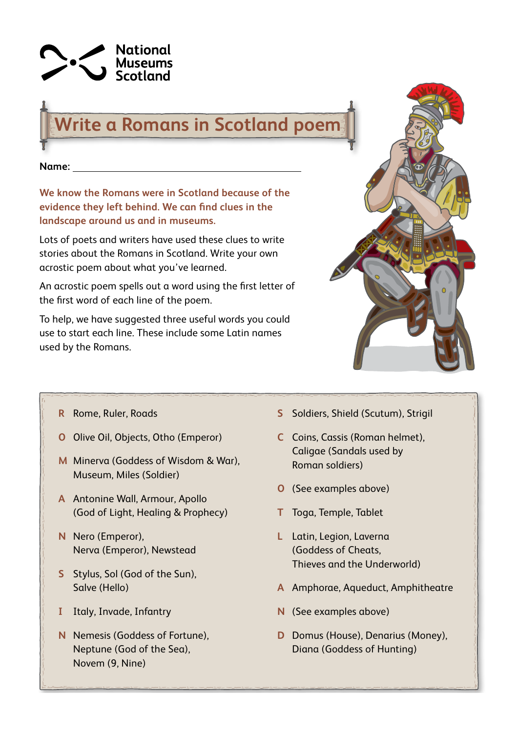

## **Write a Romans in Scotland poem**

**Name:** 

**We know the Romans were in Scotland because of the evidence they left behind. We can find clues in the landscape around us and in museums.**

Lots of poets and writers have used these clues to write stories about the Romans in Scotland. Write your own acrostic poem about what you've learned.

An acrostic poem spells out a word using the first letter of the first word of each line of the poem.

To help, we have suggested three useful words you could use to start each line. These include some Latin names used by the Romans.



- **R** Rome, Ruler, Roads
- **O** Olive Oil, Objects, Otho (Emperor)
- **M** Minerva (Goddess of Wisdom & War), Museum, Miles (Soldier)
- **A** Antonine Wall, Armour, Apollo (God of Light, Healing & Prophecy)
- **N** Nero (Emperor), Nerva (Emperor), Newstead
- **S** Stylus, Sol (God of the Sun), Salve (Hello)
- **I** Italy, Invade, Infantry
- **N** Nemesis (Goddess of Fortune), Neptune (God of the Sea), Novem (9, Nine)
- **S** Soldiers, Shield (Scutum), Strigil
- **C** Coins, Cassis (Roman helmet), Caligae (Sandals used by Roman soldiers)
- **O** (See examples above)
- **T** Toga, Temple, Tablet
- **L** Latin, Legion, Laverna (Goddess of Cheats, Thieves and the Underworld)
- **A** Amphorae, Aqueduct, Amphitheatre
- **N** (See examples above)
- **D** Domus (House), Denarius (Money), Diana (Goddess of Hunting)